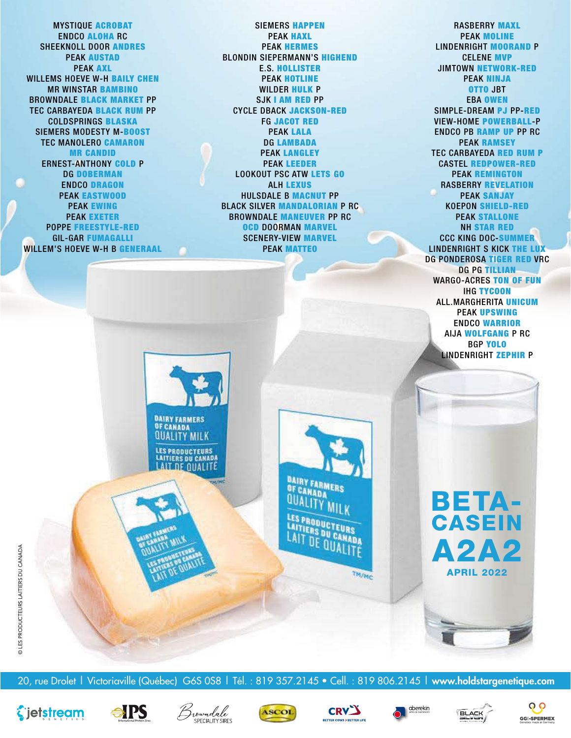MYSTIQUE ACROBAT ENDCO ALOHA RC SHEEKNOLL DOOR ANDRES PEAK AUSTAD PEAK AXL WILLEMS HOEVE W-H BAILY CHEN MR WINSTAR BAMBINO BROWNDALE BLACK MARKET PP TEC CARBAYEDA BLACK RUM PP COLDSPRINGS BLASKA SIEMERS MODESTY M-BOOST TEC MANOLERO CAMARON MR CANDID ERNEST-ANTHONY COLD P DG DOBERMAN ENDCO DRAGON PEAK EASTWOOD PEAK EWING PEAK EXETER POPPE FREESTYLE-RED GIL-GAR FUMAGALLI WILLEM'S HOEVE W-H B GENERAAL

SIEMERS HAPPEN PEAK HAXL PEAK HERMES BLONDIN SIEPERMANN'S HIGHEND E.S. HOLLISTER PEAK HOTLINE WILDER HULK P SJK I AM RED PP CYCLE DBACK JACKSON-RED FG JACOT RED PEAK LALA DG LAMBADA PEAK LANGLEY PEAK LEEDER LOOKOUT PSC ATW LETS GO ALH LEXUS HULSDALE B MACNUT PP BLACK SILVER MANDALORIAN P RC BROWNDALE MANEUVER PP RC OCD DOORMAN MARVEL SCENERY-VIEW MARVEL PEAK MATTEO

RASBERRY MAXL PEAK MOLINE LINDENRIGHT MOORAND P CELENE MVP JIMTOWN NETWORK-RED PEAK NINJA OTTO JBT EBA OWEN SIMPLE-DREAM PJ PP-RED VIEW-HOME POWERBALL-P ENDCO PB RAMP UP PP RC PEAK RAMSEY TEC CARBAYEDA RED RUM P CASTEL REDPOWER-RED PEAK REMINGTON RASBERRY REVELATION PEAK SANJAY KOEPON SHIELD-RED PEAK STALLONE NH STAR RED CCC KING DOC-SUMMER LINDENRIGHT S KICK THE LUX DG PONDEROSA TIGER RED VRC DG PG TILLIAN WARGO-ACRES TON OF FUN IHG TYCOON ALL.MARGHERITA UNICUM PEAK UPSWING ENDCO WARRIOR AIJA WOLFGANG P RC BGP YOLO LINDENRIGHT ZEPHIR P



20, rue Drolet | Victoriaville (Québec) G6S 0S8 | Tél. : 819 357.2145 • Cell. : 819 806.2145 | **www.holdstargenetique.com** 

**BAIRY FARMERS** OF CANADA **QUALITY MILK** 

LES PRODUCTEURS **CAITIERS DU CANADA** LAIT DE QUALIT











TM/MC





A2A2

APRIL 2022

BETA-

CASEIN